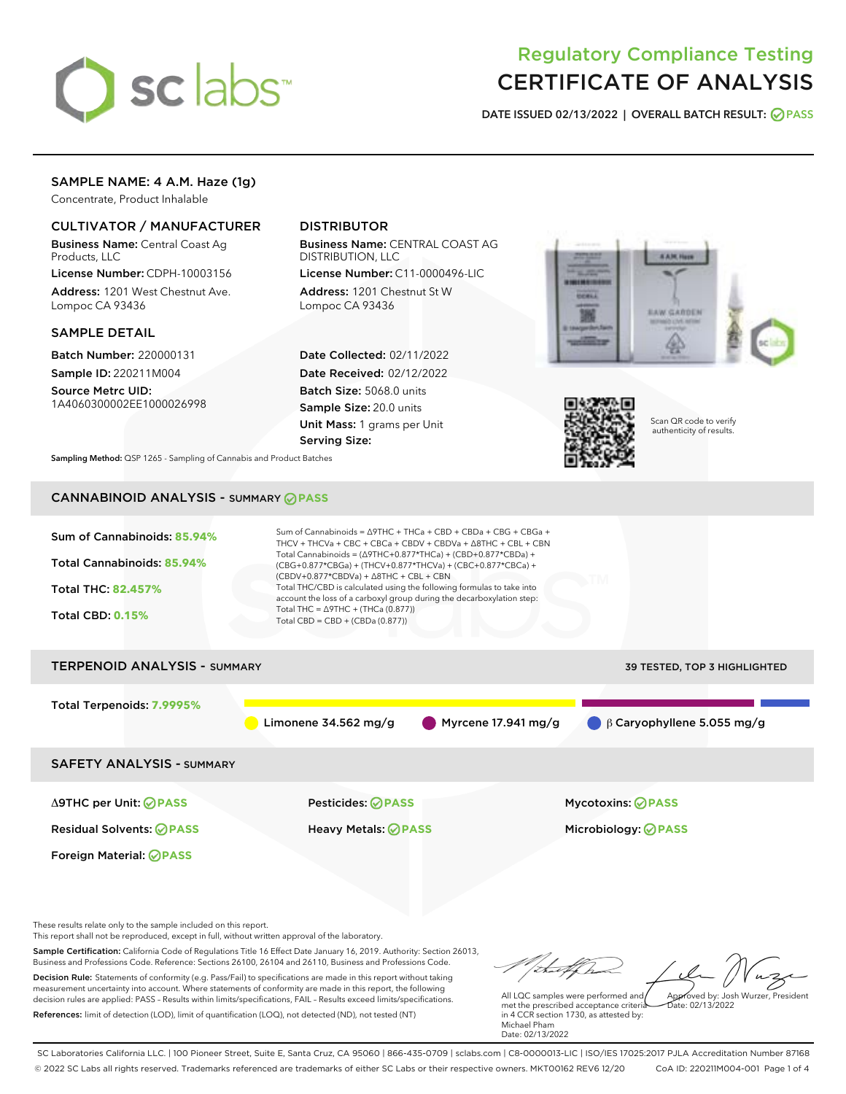

# Regulatory Compliance Testing CERTIFICATE OF ANALYSIS

DATE ISSUED 02/13/2022 | OVERALL BATCH RESULT: @ PASS

## SAMPLE NAME: 4 A.M. Haze (1g)

Concentrate, Product Inhalable

### CULTIVATOR / MANUFACTURER

Business Name: Central Coast Ag Products, LLC

License Number: CDPH-10003156 Address: 1201 West Chestnut Ave. Lompoc CA 93436

### SAMPLE DETAIL

Batch Number: 220000131 Sample ID: 220211M004

Source Metrc UID: 1A4060300002EE1000026998

### DISTRIBUTOR

Business Name: CENTRAL COAST AG DISTRIBUTION, LLC

License Number: C11-0000496-LIC Address: 1201 Chestnut St W Lompoc CA 93436

Date Collected: 02/11/2022 Date Received: 02/12/2022 Batch Size: 5068.0 units Sample Size: 20.0 units Unit Mass: 1 grams per Unit Serving Size:





Scan QR code to verify authenticity of results.

Sampling Method: QSP 1265 - Sampling of Cannabis and Product Batches

# CANNABINOID ANALYSIS - SUMMARY **PASS**



Business and Professions Code. Reference: Sections 26100, 26104 and 26110, Business and Professions Code. Decision Rule: Statements of conformity (e.g. Pass/Fail) to specifications are made in this report without taking measurement uncertainty into account. Where statements of conformity are made in this report, the following decision rules are applied: PASS – Results within limits/specifications, FAIL – Results exceed limits/specifications. References: limit of detection (LOD), limit of quantification (LOQ), not detected (ND), not tested (NT)

Approved by: Josh Wurzer, President

 $\frac{1}{2}$ ate: 02/13/2022

All LQC samples were performed and met the prescribed acceptance criteria in 4 CCR section 1730, as attested by: Michael Pham Date: 02/13/2022

SC Laboratories California LLC. | 100 Pioneer Street, Suite E, Santa Cruz, CA 95060 | 866-435-0709 | sclabs.com | C8-0000013-LIC | ISO/IES 17025:2017 PJLA Accreditation Number 87168 © 2022 SC Labs all rights reserved. Trademarks referenced are trademarks of either SC Labs or their respective owners. MKT00162 REV6 12/20 CoA ID: 220211M004-001 Page 1 of 4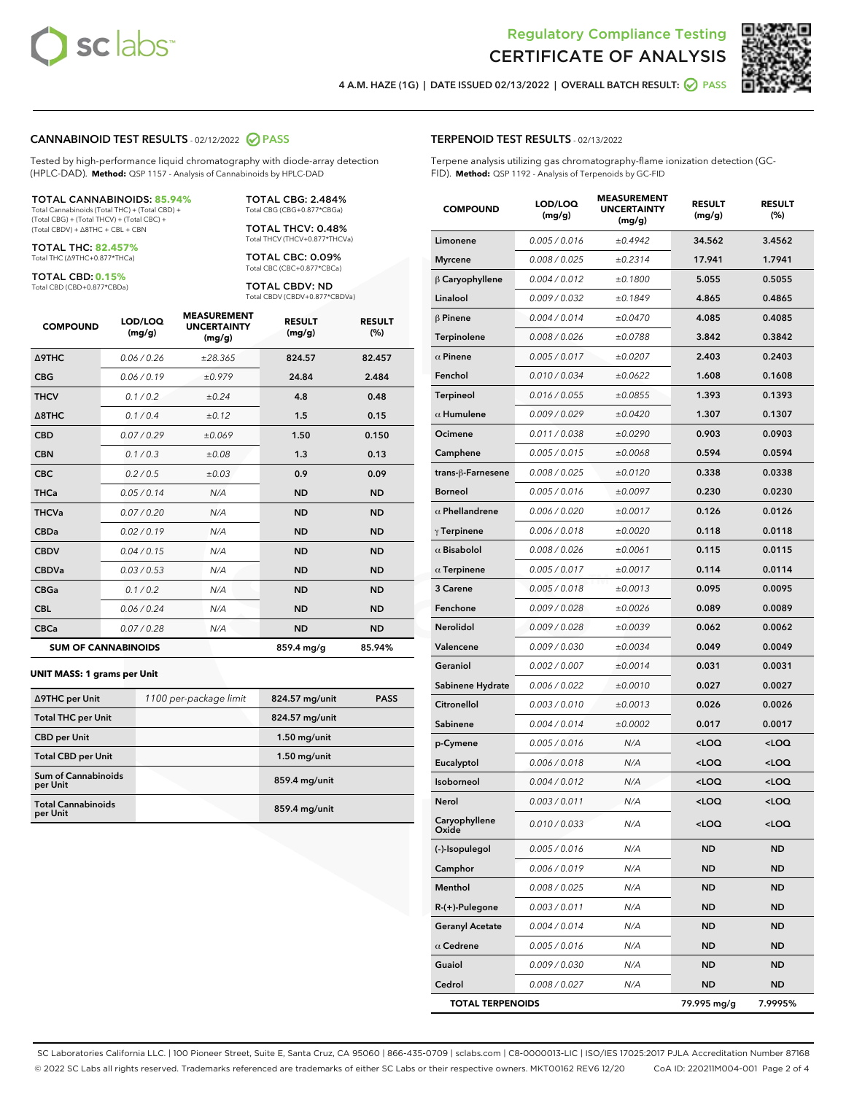



4 A.M. HAZE (1G) | DATE ISSUED 02/13/2022 | OVERALL BATCH RESULT:  $\bigcirc$  PASS

### CANNABINOID TEST RESULTS - 02/12/2022 2 PASS

Tested by high-performance liquid chromatography with diode-array detection (HPLC-DAD). **Method:** QSP 1157 - Analysis of Cannabinoids by HPLC-DAD

#### TOTAL CANNABINOIDS: **85.94%**

Total Cannabinoids (Total THC) + (Total CBD) + (Total CBG) + (Total THCV) + (Total CBC) + (Total CBDV) + ∆8THC + CBL + CBN

TOTAL THC: **82.457%** Total THC (∆9THC+0.877\*THCa)

TOTAL CBD: **0.15%**

Total CBD (CBD+0.877\*CBDa)

TOTAL CBG: 2.484% Total CBG (CBG+0.877\*CBGa)

TOTAL THCV: 0.48% Total THCV (THCV+0.877\*THCVa)

TOTAL CBC: 0.09% Total CBC (CBC+0.877\*CBCa)

TOTAL CBDV: ND Total CBDV (CBDV+0.877\*CBDVa)

| <b>COMPOUND</b>  | LOD/LOQ<br>(mg/g)          | <b>MEASUREMENT</b><br><b>UNCERTAINTY</b><br>(mg/g) | <b>RESULT</b><br>(mg/g) | <b>RESULT</b><br>(%) |
|------------------|----------------------------|----------------------------------------------------|-------------------------|----------------------|
| <b>A9THC</b>     | 0.06 / 0.26                | ±28.365                                            | 824.57                  | 82.457               |
| <b>CBG</b>       | 0.06 / 0.19                | ±0.979                                             | 24.84                   | 2.484                |
| <b>THCV</b>      | 0.1/0.2                    | ±0.24                                              | 4.8                     | 0.48                 |
| $\triangle$ 8THC | 0.1/0.4                    | ±0.12                                              | 1.5                     | 0.15                 |
| <b>CBD</b>       | 0.07/0.29                  | ±0.069                                             | 1.50                    | 0.150                |
| <b>CBN</b>       | 0.1/0.3                    | ±0.08                                              | 1.3                     | 0.13                 |
| <b>CBC</b>       | 0.2 / 0.5                  | $\pm 0.03$                                         | 0.9                     | 0.09                 |
| <b>THCa</b>      | 0.05/0.14                  | N/A                                                | <b>ND</b>               | <b>ND</b>            |
| <b>THCVa</b>     | 0.07/0.20                  | N/A                                                | <b>ND</b>               | <b>ND</b>            |
| <b>CBDa</b>      | 0.02/0.19                  | N/A                                                | <b>ND</b>               | <b>ND</b>            |
| <b>CBDV</b>      | 0.04 / 0.15                | N/A                                                | <b>ND</b>               | <b>ND</b>            |
| <b>CBDVa</b>     | 0.03 / 0.53                | N/A                                                | <b>ND</b>               | <b>ND</b>            |
| <b>CBGa</b>      | 0.1/0.2                    | N/A                                                | <b>ND</b>               | <b>ND</b>            |
| <b>CBL</b>       | 0.06 / 0.24                | N/A                                                | <b>ND</b>               | <b>ND</b>            |
| <b>CBCa</b>      | 0.07 / 0.28                | N/A                                                | <b>ND</b>               | <b>ND</b>            |
|                  | <b>SUM OF CANNABINOIDS</b> |                                                    | 859.4 mg/g              | 85.94%               |

#### **UNIT MASS: 1 grams per Unit**

| ∆9THC per Unit                         | 1100 per-package limit | 824.57 mg/unit  | <b>PASS</b> |
|----------------------------------------|------------------------|-----------------|-------------|
| <b>Total THC per Unit</b>              |                        | 824.57 mg/unit  |             |
| <b>CBD per Unit</b>                    |                        | $1.50$ mg/unit  |             |
| <b>Total CBD per Unit</b>              |                        | $1.50$ mg/unit  |             |
| <b>Sum of Cannabinoids</b><br>per Unit |                        | 859.4 mg/unit   |             |
| <b>Total Cannabinoids</b><br>per Unit  |                        | $859.4$ mg/unit |             |

| <b>COMPOUND</b>         | LOD/LOQ<br>(mg/g) | <b>MEASUREMENT</b><br><b>UNCERTAINTY</b><br>(mg/g) | <b>RESULT</b><br>(mg/g)                          | <b>RESULT</b><br>$(\%)$ |
|-------------------------|-------------------|----------------------------------------------------|--------------------------------------------------|-------------------------|
| Limonene                | 0.005 / 0.016     | ±0.4942                                            | 34.562                                           | 3.4562                  |
| <b>Myrcene</b>          | 0.008 / 0.025     | ±0.2314                                            | 17.941                                           | 1.7941                  |
| $\beta$ Caryophyllene   | 0.004 / 0.012     | ±0.1800                                            | 5.055                                            | 0.5055                  |
| Linalool                | 0.009 / 0.032     | ±0.1849                                            | 4.865                                            | 0.4865                  |
| $\beta$ Pinene          | 0.004 / 0.014     | ±0.0470                                            | 4.085                                            | 0.4085                  |
| Terpinolene             | 0.008 / 0.026     | ±0.0788                                            | 3.842                                            | 0.3842                  |
| $\alpha$ Pinene         | 0.005 / 0.017     | ±0.0207                                            | 2.403                                            | 0.2403                  |
| Fenchol                 | 0.010 / 0.034     | ±0.0622                                            | 1.608                                            | 0.1608                  |
| Terpineol               | 0.016 / 0.055     | ±0.0855                                            | 1.393                                            | 0.1393                  |
| $\alpha$ Humulene       | 0.009/0.029       | ±0.0420                                            | 1.307                                            | 0.1307                  |
| Ocimene                 | 0.011 / 0.038     | ±0.0290                                            | 0.903                                            | 0.0903                  |
| Camphene                | 0.005 / 0.015     | ±0.0068                                            | 0.594                                            | 0.0594                  |
| trans-ß-Farnesene       | 0.008 / 0.025     | ±0.0120                                            | 0.338                                            | 0.0338                  |
| <b>Borneol</b>          | 0.005 / 0.016     | ±0.0097                                            | 0.230                                            | 0.0230                  |
| $\alpha$ Phellandrene   | 0.006 / 0.020     | ±0.0017                                            | 0.126                                            | 0.0126                  |
| $\gamma$ Terpinene      | 0.006 / 0.018     | ±0.0020                                            | 0.118                                            | 0.0118                  |
| $\alpha$ Bisabolol      | 0.008 / 0.026     | ±0.0061                                            | 0.115                                            | 0.0115                  |
| $\alpha$ Terpinene      | 0.005 / 0.017     | ±0.0017                                            | 0.114                                            | 0.0114                  |
| 3 Carene                | 0.005 / 0.018     | ±0.0013                                            | 0.095                                            | 0.0095                  |
| Fenchone                | 0.009 / 0.028     | ±0.0026                                            | 0.089                                            | 0.0089                  |
| Nerolidol               | 0.009 / 0.028     | ±0.0039                                            | 0.062                                            | 0.0062                  |
| Valencene               | 0.009 / 0.030     | ±0.0034                                            | 0.049                                            | 0.0049                  |
| Geraniol                | 0.002 / 0.007     | ±0.0014                                            | 0.031                                            | 0.0031                  |
| Sabinene Hydrate        | 0.006 / 0.022     | ±0.0010                                            | 0.027                                            | 0.0027                  |
| Citronellol             | 0.003 / 0.010     | ±0.0013                                            | 0.026                                            | 0.0026                  |
| Sabinene                | 0.004 / 0.014     | ±0.0002                                            | 0.017                                            | 0.0017                  |
| p-Cymene                | 0.005 / 0.016     | N/A                                                | <loq< th=""><th><loq< th=""></loq<></th></loq<>  | <loq< th=""></loq<>     |
| Eucalyptol              | 0.006 / 0.018     | N/A                                                | <loq< th=""><th><math>&lt;</math>LOQ</th></loq<> | $<$ LOQ                 |
| <b>Isoborneol</b>       | 0.004 / 0.012     | N/A                                                | <loq< th=""><th><loq< th=""></loq<></th></loq<>  | <loq< th=""></loq<>     |
| Nerol                   | 0.003 / 0.011     | N/A                                                | <loq< th=""><th><loq< th=""></loq<></th></loq<>  | <loq< th=""></loq<>     |
| Caryophyllene<br>Oxide  | 0.010 / 0.033     | N/A                                                | <loq< th=""><th><loq< th=""></loq<></th></loq<>  | <loq< th=""></loq<>     |
| (-)-Isopulegol          | 0.005 / 0.016     | N/A                                                | ND                                               | <b>ND</b>               |
| Camphor                 | 0.006 / 0.019     | N/A                                                | ND                                               | <b>ND</b>               |
| Menthol                 | 0.008 / 0.025     | N/A                                                | ND                                               | <b>ND</b>               |
| $R-(+)$ -Pulegone       | 0.003 / 0.011     | N/A                                                | ND                                               | <b>ND</b>               |
| <b>Geranyl Acetate</b>  | 0.004 / 0.014     | N/A                                                | ND                                               | <b>ND</b>               |
| $\alpha$ Cedrene        | 0.005 / 0.016     | N/A                                                | ND                                               | <b>ND</b>               |
| Guaiol                  | 0.009 / 0.030     | N/A                                                | ND                                               | <b>ND</b>               |
| Cedrol                  | 0.008 / 0.027     | N/A                                                | ND                                               | ND                      |
| <b>TOTAL TERPENOIDS</b> |                   |                                                    | 79.995 mg/g                                      | 7.9995%                 |

SC Laboratories California LLC. | 100 Pioneer Street, Suite E, Santa Cruz, CA 95060 | 866-435-0709 | sclabs.com | C8-0000013-LIC | ISO/IES 17025:2017 PJLA Accreditation Number 87168 © 2022 SC Labs all rights reserved. Trademarks referenced are trademarks of either SC Labs or their respective owners. MKT00162 REV6 12/20 CoA ID: 220211M004-001 Page 2 of 4

### TERPENOID TEST RESULTS - 02/13/2022

Terpene analysis utilizing gas chromatography-flame ionization detection (GC-FID). **Method:** QSP 1192 - Analysis of Terpenoids by GC-FID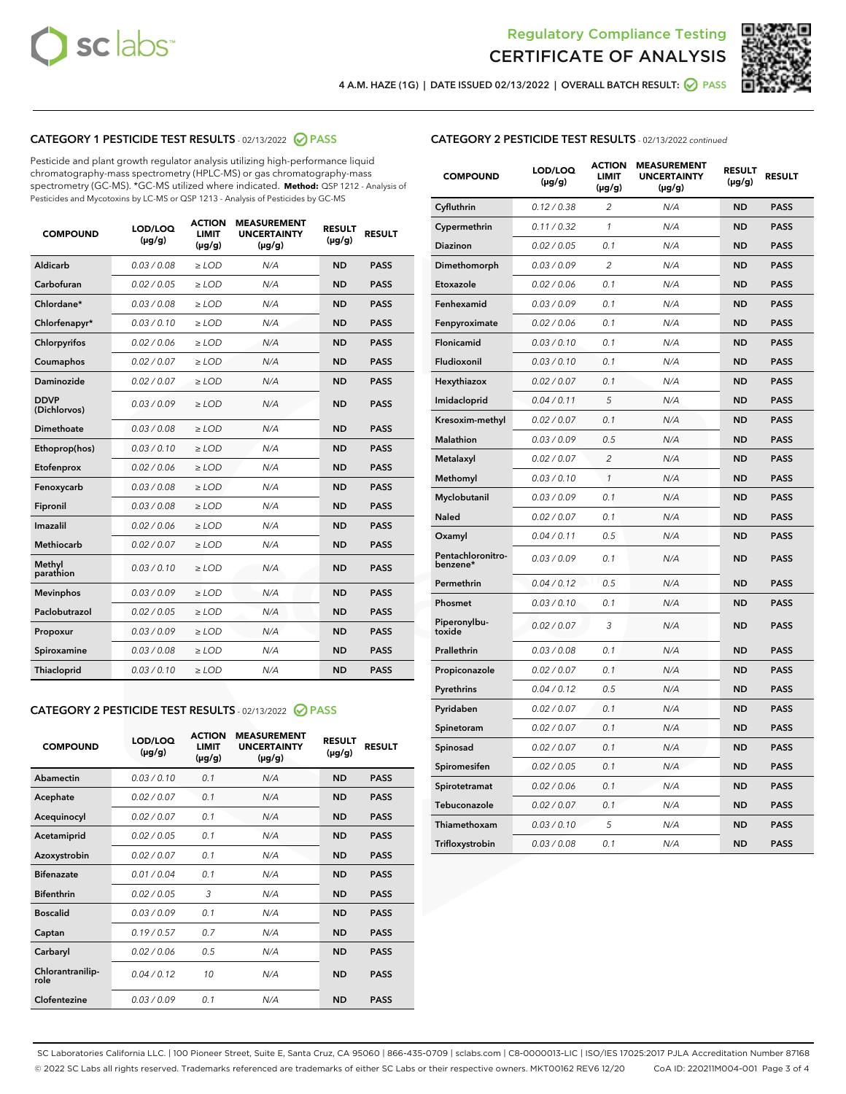



4 A.M. HAZE (1G) | DATE ISSUED 02/13/2022 | OVERALL BATCH RESULT:  $\bigcirc$  PASS

### CATEGORY 1 PESTICIDE TEST RESULTS - 02/13/2022 2 PASS

Pesticide and plant growth regulator analysis utilizing high-performance liquid chromatography-mass spectrometry (HPLC-MS) or gas chromatography-mass spectrometry (GC-MS). \*GC-MS utilized where indicated. **Method:** QSP 1212 - Analysis of Pesticides and Mycotoxins by LC-MS or QSP 1213 - Analysis of Pesticides by GC-MS

| <b>COMPOUND</b>             | LOD/LOQ<br>$(\mu g/g)$ | <b>ACTION</b><br><b>LIMIT</b><br>$(\mu g/g)$ | <b>MEASUREMENT</b><br><b>UNCERTAINTY</b><br>$(\mu g/g)$ | <b>RESULT</b><br>$(\mu g/g)$ | <b>RESULT</b> |
|-----------------------------|------------------------|----------------------------------------------|---------------------------------------------------------|------------------------------|---------------|
| Aldicarb                    | 0.03 / 0.08            | $\geq$ LOD                                   | N/A                                                     | <b>ND</b>                    | <b>PASS</b>   |
| Carbofuran                  | 0.02/0.05              | $>$ LOD                                      | N/A                                                     | <b>ND</b>                    | <b>PASS</b>   |
| Chlordane*                  | 0.03 / 0.08            | $\ge$ LOD                                    | N/A                                                     | <b>ND</b>                    | <b>PASS</b>   |
| Chlorfenapyr*               | 0.03/0.10              | $>$ LOD                                      | N/A                                                     | <b>ND</b>                    | <b>PASS</b>   |
| Chlorpyrifos                | 0.02 / 0.06            | $\ge$ LOD                                    | N/A                                                     | <b>ND</b>                    | <b>PASS</b>   |
| Coumaphos                   | 0.02 / 0.07            | $\ge$ LOD                                    | N/A                                                     | <b>ND</b>                    | <b>PASS</b>   |
| Daminozide                  | 0.02 / 0.07            | $\ge$ LOD                                    | N/A                                                     | <b>ND</b>                    | <b>PASS</b>   |
| <b>DDVP</b><br>(Dichlorvos) | 0.03/0.09              | $\ge$ LOD                                    | N/A                                                     | <b>ND</b>                    | <b>PASS</b>   |
| Dimethoate                  | 0.03/0.08              | $>$ LOD                                      | N/A                                                     | <b>ND</b>                    | <b>PASS</b>   |
| Ethoprop(hos)               | 0.03/0.10              | $\ge$ LOD                                    | N/A                                                     | <b>ND</b>                    | <b>PASS</b>   |
| Etofenprox                  | 0.02 / 0.06            | $\ge$ LOD                                    | N/A                                                     | <b>ND</b>                    | <b>PASS</b>   |
| Fenoxycarb                  | 0.03 / 0.08            | $\ge$ LOD                                    | N/A                                                     | <b>ND</b>                    | <b>PASS</b>   |
| Fipronil                    | 0.03/0.08              | $>$ LOD                                      | N/A                                                     | <b>ND</b>                    | <b>PASS</b>   |
| Imazalil                    | 0.02 / 0.06            | $\ge$ LOD                                    | N/A                                                     | <b>ND</b>                    | <b>PASS</b>   |
| <b>Methiocarb</b>           | 0.02 / 0.07            | $\ge$ LOD                                    | N/A                                                     | <b>ND</b>                    | <b>PASS</b>   |
| Methyl<br>parathion         | 0.03/0.10              | $\ge$ LOD                                    | N/A                                                     | <b>ND</b>                    | <b>PASS</b>   |
| <b>Mevinphos</b>            | 0.03/0.09              | $>$ LOD                                      | N/A                                                     | <b>ND</b>                    | <b>PASS</b>   |
| Paclobutrazol               | 0.02 / 0.05            | $\ge$ LOD                                    | N/A                                                     | <b>ND</b>                    | <b>PASS</b>   |
| Propoxur                    | 0.03/0.09              | $\ge$ LOD                                    | N/A                                                     | <b>ND</b>                    | <b>PASS</b>   |
| Spiroxamine                 | 0.03 / 0.08            | $\ge$ LOD                                    | N/A                                                     | <b>ND</b>                    | <b>PASS</b>   |
| Thiacloprid                 | 0.03/0.10              | $\ge$ LOD                                    | N/A                                                     | <b>ND</b>                    | <b>PASS</b>   |

### CATEGORY 2 PESTICIDE TEST RESULTS - 02/13/2022 2 PASS

| <b>COMPOUND</b>          | LOD/LOQ<br>$(\mu g/g)$ | <b>ACTION</b><br><b>LIMIT</b><br>$(\mu g/g)$ | <b>MEASUREMENT</b><br><b>UNCERTAINTY</b><br>$(\mu g/g)$ | <b>RESULT</b><br>$(\mu g/g)$ | <b>RESULT</b> |
|--------------------------|------------------------|----------------------------------------------|---------------------------------------------------------|------------------------------|---------------|
| Abamectin                | 0.03/0.10              | 0.1                                          | N/A                                                     | <b>ND</b>                    | <b>PASS</b>   |
| Acephate                 | 0.02/0.07              | 0.1                                          | N/A                                                     | <b>ND</b>                    | <b>PASS</b>   |
| Acequinocyl              | 0.02/0.07              | 0.1                                          | N/A                                                     | <b>ND</b>                    | <b>PASS</b>   |
| Acetamiprid              | 0.02/0.05              | 0.1                                          | N/A                                                     | <b>ND</b>                    | <b>PASS</b>   |
| Azoxystrobin             | 0.02/0.07              | 0.1                                          | N/A                                                     | <b>ND</b>                    | <b>PASS</b>   |
| <b>Bifenazate</b>        | 0.01/0.04              | 0.1                                          | N/A                                                     | <b>ND</b>                    | <b>PASS</b>   |
| <b>Bifenthrin</b>        | 0.02 / 0.05            | 3                                            | N/A                                                     | <b>ND</b>                    | <b>PASS</b>   |
| <b>Boscalid</b>          | 0.03/0.09              | 0.1                                          | N/A                                                     | <b>ND</b>                    | <b>PASS</b>   |
| Captan                   | 0.19/0.57              | 0.7                                          | N/A                                                     | <b>ND</b>                    | <b>PASS</b>   |
| Carbaryl                 | 0.02/0.06              | 0.5                                          | N/A                                                     | <b>ND</b>                    | <b>PASS</b>   |
| Chlorantranilip-<br>role | 0.04/0.12              | 10                                           | N/A                                                     | <b>ND</b>                    | <b>PASS</b>   |
| Clofentezine             | 0.03/0.09              | 0.1                                          | N/A                                                     | <b>ND</b>                    | <b>PASS</b>   |

| <b>CATEGORY 2 PESTICIDE TEST RESULTS</b> - 02/13/2022 continued |  |
|-----------------------------------------------------------------|--|
|-----------------------------------------------------------------|--|

| <b>COMPOUND</b>               | LOD/LOQ<br>(µg/g) | <b>ACTION</b><br>LIMIT<br>$(\mu g/g)$ | <b>MEASUREMENT</b><br><b>UNCERTAINTY</b><br>$(\mu g/g)$ | <b>RESULT</b><br>(µg/g) | <b>RESULT</b> |
|-------------------------------|-------------------|---------------------------------------|---------------------------------------------------------|-------------------------|---------------|
| Cyfluthrin                    | 0.12 / 0.38       | 2                                     | N/A                                                     | <b>ND</b>               | <b>PASS</b>   |
| Cypermethrin                  | 0.11 / 0.32       | 1                                     | N/A                                                     | <b>ND</b>               | <b>PASS</b>   |
| Diazinon                      | 0.02 / 0.05       | 0.1                                   | N/A                                                     | ND                      | PASS          |
| Dimethomorph                  | 0.03 / 0.09       | $\overline{2}$                        | N/A                                                     | <b>ND</b>               | <b>PASS</b>   |
| Etoxazole                     | 0.02 / 0.06       | 0.1                                   | N/A                                                     | ND                      | <b>PASS</b>   |
| Fenhexamid                    | 0.03 / 0.09       | 0.1                                   | N/A                                                     | ND                      | <b>PASS</b>   |
| Fenpyroximate                 | 0.02 / 0.06       | 0.1                                   | N/A                                                     | <b>ND</b>               | <b>PASS</b>   |
| Flonicamid                    | 0.03 / 0.10       | 0.1                                   | N/A                                                     | <b>ND</b>               | <b>PASS</b>   |
| Fludioxonil                   | 0.03 / 0.10       | 0.1                                   | N/A                                                     | <b>ND</b>               | <b>PASS</b>   |
| Hexythiazox                   | 0.02 / 0.07       | 0.1                                   | N/A                                                     | ND                      | <b>PASS</b>   |
| Imidacloprid                  | 0.04 / 0.11       | 5                                     | N/A                                                     | <b>ND</b>               | <b>PASS</b>   |
| Kresoxim-methyl               | 0.02 / 0.07       | 0.1                                   | N/A                                                     | <b>ND</b>               | <b>PASS</b>   |
| <b>Malathion</b>              | 0.03 / 0.09       | 0.5                                   | N/A                                                     | <b>ND</b>               | <b>PASS</b>   |
| Metalaxyl                     | 0.02 / 0.07       | $\overline{2}$                        | N/A                                                     | <b>ND</b>               | <b>PASS</b>   |
| Methomyl                      | 0.03 / 0.10       | 1                                     | N/A                                                     | <b>ND</b>               | <b>PASS</b>   |
| Myclobutanil                  | 0.03 / 0.09       | 0.1                                   | N/A                                                     | ND                      | <b>PASS</b>   |
| <b>Naled</b>                  | 0.02 / 0.07       | 0.1                                   | N/A                                                     | ND                      | <b>PASS</b>   |
| Oxamyl                        | 0.04 / 0.11       | 0.5                                   | N/A                                                     | ND                      | <b>PASS</b>   |
| Pentachloronitro-<br>benzene* | 0.03/0.09         | 0.1                                   | N/A                                                     | ND                      | <b>PASS</b>   |
| Permethrin                    | 0.04 / 0.12       | 0.5                                   | N/A                                                     | <b>ND</b>               | <b>PASS</b>   |
| Phosmet                       | 0.03 / 0.10       | 0.1                                   | N/A                                                     | <b>ND</b>               | <b>PASS</b>   |
| Piperonylbu-<br>toxide        | 0.02 / 0.07       | 3                                     | N/A                                                     | <b>ND</b>               | <b>PASS</b>   |
| Prallethrin                   | 0.03 / 0.08       | 0.1                                   | N/A                                                     | <b>ND</b>               | <b>PASS</b>   |
| Propiconazole                 | 0.02 / 0.07       | 0.1                                   | N/A                                                     | ND                      | <b>PASS</b>   |
| Pyrethrins                    | 0.04 / 0.12       | 0.5                                   | N/A                                                     | ND                      | <b>PASS</b>   |
| Pyridaben                     | 0.02 / 0.07       | 0.1                                   | N/A                                                     | <b>ND</b>               | <b>PASS</b>   |
| Spinetoram                    | 0.02 / 0.07       | 0.1                                   | N/A                                                     | <b>ND</b>               | <b>PASS</b>   |
| Spinosad                      | 0.02 / 0.07       | 0.1                                   | N/A                                                     | ND                      | <b>PASS</b>   |
| Spiromesifen                  | 0.02 / 0.05       | 0.1                                   | N/A                                                     | <b>ND</b>               | <b>PASS</b>   |
| Spirotetramat                 | 0.02 / 0.06       | 0.1                                   | N/A                                                     | ND                      | <b>PASS</b>   |
| Tebuconazole                  | 0.02 / 0.07       | 0.1                                   | N/A                                                     | ND                      | <b>PASS</b>   |
| Thiamethoxam                  | 0.03 / 0.10       | 5                                     | N/A                                                     | ND                      | <b>PASS</b>   |
| Trifloxystrobin               | 0.03 / 0.08       | 0.1                                   | N/A                                                     | <b>ND</b>               | <b>PASS</b>   |

SC Laboratories California LLC. | 100 Pioneer Street, Suite E, Santa Cruz, CA 95060 | 866-435-0709 | sclabs.com | C8-0000013-LIC | ISO/IES 17025:2017 PJLA Accreditation Number 87168 © 2022 SC Labs all rights reserved. Trademarks referenced are trademarks of either SC Labs or their respective owners. MKT00162 REV6 12/20 CoA ID: 220211M004-001 Page 3 of 4